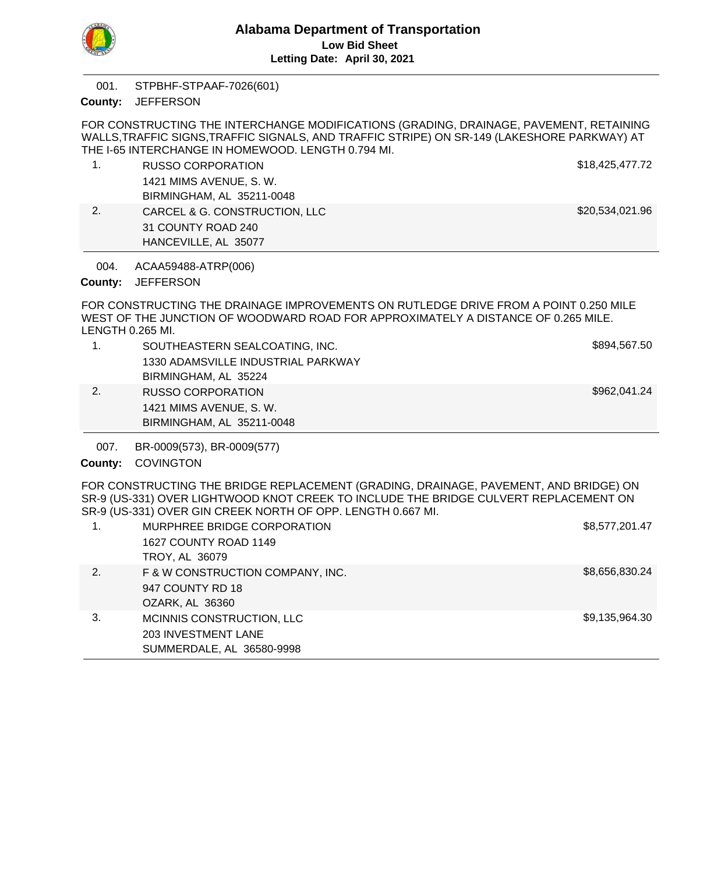

STPBHF-STPAAF-7026(601) 001.

County: JEFFERSON

FOR CONSTRUCTING THE INTERCHANGE MODIFICATIONS (GRADING, DRAINAGE, PAVEMENT, RETAINING WALLS,TRAFFIC SIGNS,TRAFFIC SIGNALS, AND TRAFFIC STRIPE) ON SR-149 (LAKESHORE PARKWAY) AT THE I-65 INTERCHANGE IN HOMEWOOD. LENGTH 0.794 MI.

1. RUSSO CORPORATION **\$18,425,477.72** 1421 MIMS AVENUE, S. W. BIRMINGHAM, AL 35211-0048 2. CARCEL & G. CONSTRUCTION, LLC 6. 200 S20,534,021.96 31 COUNTY ROAD 240 HANCEVILLE, AL 35077

ACAA59488-ATRP(006) 004.

County: JEFFERSON

FOR CONSTRUCTING THE DRAINAGE IMPROVEMENTS ON RUTLEDGE DRIVE FROM A POINT 0.250 MILE WEST OF THE JUNCTION OF WOODWARD ROAD FOR APPROXIMATELY A DISTANCE OF 0.265 MILE. LENGTH 0.265 MI.

- 1. SOUTHEASTERN SEALCOATING, INC. **SAULA SEALCOATING**, INC. 1330 ADAMSVILLE INDUSTRIAL PARKWAY BIRMINGHAM, AL 35224 2. RUSSO CORPORATION **\$962,041.24** 1421 MIMS AVENUE, S. W.
	- BIRMINGHAM, AL 35211-0048
- BR-0009(573), BR-0009(577) 007.

County: COVINGTON

FOR CONSTRUCTING THE BRIDGE REPLACEMENT (GRADING, DRAINAGE, PAVEMENT, AND BRIDGE) ON SR-9 (US-331) OVER LIGHTWOOD KNOT CREEK TO INCLUDE THE BRIDGE CULVERT REPLACEMENT ON SR-9 (US-331) OVER GIN CREEK NORTH OF OPP. LENGTH 0.667 MI.

| 1. | MURPHREE BRIDGE CORPORATION<br>1627 COUNTY ROAD 1149<br>TROY, AL 36079               | \$8,577,201.47 |
|----|--------------------------------------------------------------------------------------|----------------|
| 2. | F & W CONSTRUCTION COMPANY, INC.<br>947 COUNTY RD 18<br>OZARK, AL 36360              | \$8,656,830.24 |
| 3. | MCINNIS CONSTRUCTION, LLC<br><b>203 INVESTMENT LANE</b><br>SUMMERDALE, AL 36580-9998 | \$9,135,964.30 |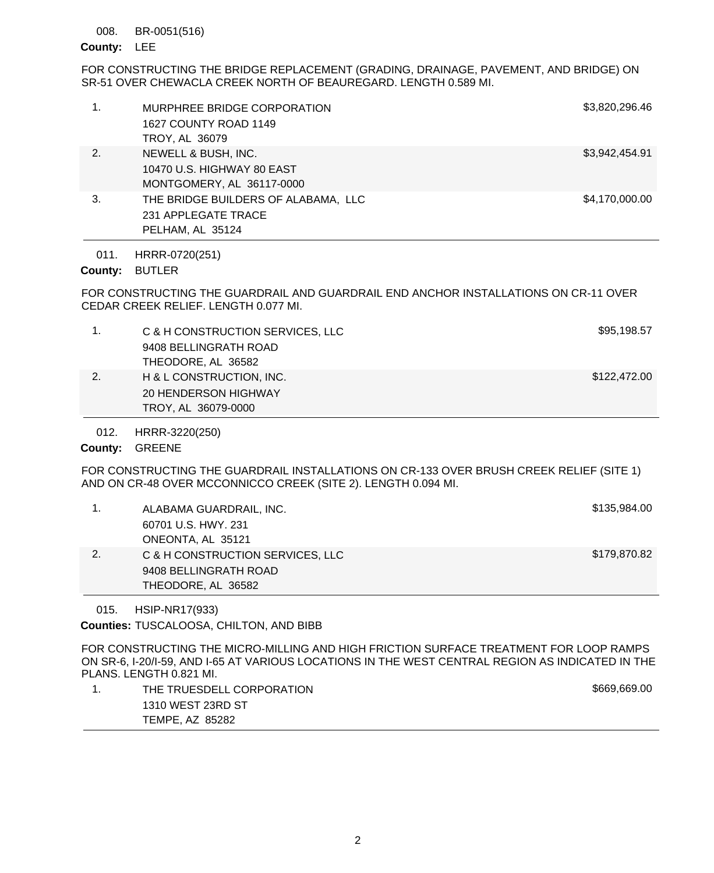#### BR-0051(516) 008.

## County: LEE

FOR CONSTRUCTING THE BRIDGE REPLACEMENT (GRADING, DRAINAGE, PAVEMENT, AND BRIDGE) ON SR-51 OVER CHEWACLA CREEK NORTH OF BEAUREGARD. LENGTH 0.589 MI.

|    | MURPHREE BRIDGE CORPORATION<br>1627 COUNTY ROAD 1149<br>TROY, AL 36079 | \$3,820,296.46 |
|----|------------------------------------------------------------------------|----------------|
|    |                                                                        |                |
| 2. | NEWELL & BUSH, INC.                                                    | \$3,942,454.91 |
|    | 10470 U.S. HIGHWAY 80 EAST                                             |                |
|    | MONTGOMERY, AL 36117-0000                                              |                |
|    |                                                                        |                |
| 3. | THE BRIDGE BUILDERS OF ALABAMA, LLC                                    | \$4,170,000.00 |
|    | 231 APPLEGATE TRACE                                                    |                |
|    | PELHAM, AL 35124                                                       |                |
|    |                                                                        |                |

HRRR-0720(251) 011.

## County: BUTLER

FOR CONSTRUCTING THE GUARDRAIL AND GUARDRAIL END ANCHOR INSTALLATIONS ON CR-11 OVER CEDAR CREEK RELIEF. LENGTH 0.077 MI.

|    | C & H CONSTRUCTION SERVICES, LLC | \$95,198.57  |
|----|----------------------------------|--------------|
|    | 9408 BELLINGRATH ROAD            |              |
|    | THEODORE, AL 36582               |              |
| 2. | H & L CONSTRUCTION, INC.         | \$122,472.00 |
|    | 20 HENDERSON HIGHWAY             |              |
|    | TROY, AL 36079-0000              |              |

HRRR-3220(250) 012.

## County: GREENE

FOR CONSTRUCTING THE GUARDRAIL INSTALLATIONS ON CR-133 OVER BRUSH CREEK RELIEF (SITE 1) AND ON CR-48 OVER MCCONNICCO CREEK (SITE 2). LENGTH 0.094 MI.

|    | ALABAMA GUARDRAIL, INC.          | \$135,984.00 |
|----|----------------------------------|--------------|
|    | 60701 U.S. HWY, 231              |              |
|    | ONEONTA, AL 35121                |              |
| 2. | C & H CONSTRUCTION SERVICES, LLC | \$179,870.82 |
|    | 9408 BELLINGRATH ROAD            |              |
|    | THEODORE, AL 36582               |              |

HSIP-NR17(933) 015.

Counties: TUSCALOOSA, CHILTON, AND BIBB

FOR CONSTRUCTING THE MICRO-MILLING AND HIGH FRICTION SURFACE TREATMENT FOR LOOP RAMPS ON SR-6, I-20/I-59, AND I-65 AT VARIOUS LOCATIONS IN THE WEST CENTRAL REGION AS INDICATED IN THE PLANS. LENGTH 0.821 MI.

| THE TRUESDELL CORPORATION | \$669,669.00 |
|---------------------------|--------------|
| 1310 WEST 23RD ST         |              |
| TEMPE, AZ 85282           |              |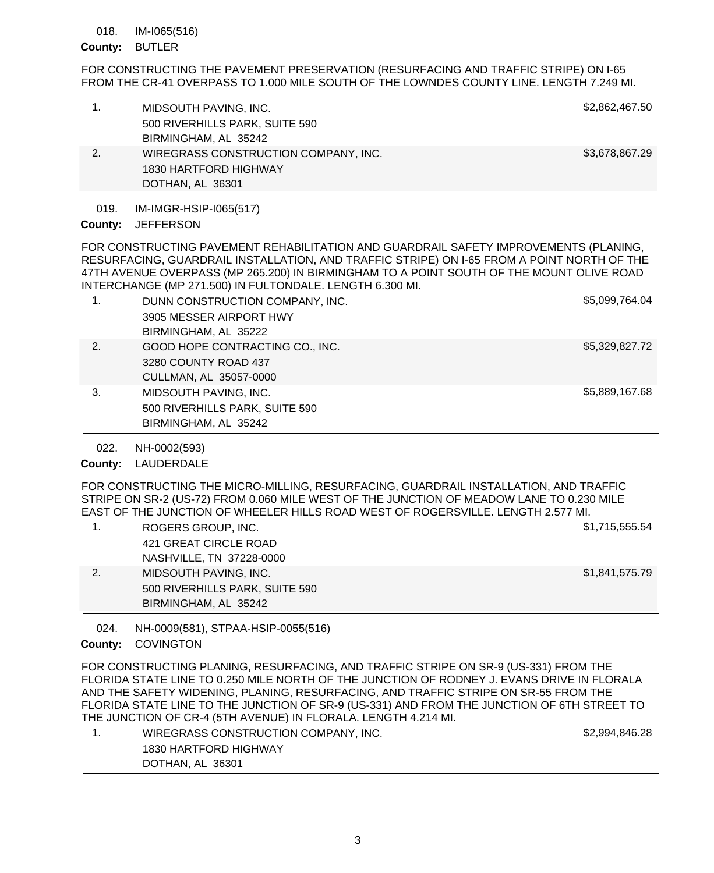#### IM-I065(516) 018.

### County: BUTLER

FOR CONSTRUCTING THE PAVEMENT PRESERVATION (RESURFACING AND TRAFFIC STRIPE) ON I-65 FROM THE CR-41 OVERPASS TO 1.000 MILE SOUTH OF THE LOWNDES COUNTY LINE. LENGTH 7.249 MI.

| 1. | MIDSOUTH PAVING, INC.                | \$2,862,467.50 |
|----|--------------------------------------|----------------|
|    | 500 RIVERHILLS PARK, SUITE 590       |                |
|    | BIRMINGHAM, AL 35242                 |                |
| 2. | WIREGRASS CONSTRUCTION COMPANY, INC. | \$3,678,867.29 |
|    | 1830 HARTFORD HIGHWAY                |                |
|    | DOTHAN, AL 36301                     |                |

IM-IMGR-HSIP-I065(517) 019.

## County: JEFFERSON

FOR CONSTRUCTING PAVEMENT REHABILITATION AND GUARDRAIL SAFETY IMPROVEMENTS (PLANING, RESURFACING, GUARDRAIL INSTALLATION, AND TRAFFIC STRIPE) ON I-65 FROM A POINT NORTH OF THE 47TH AVENUE OVERPASS (MP 265.200) IN BIRMINGHAM TO A POINT SOUTH OF THE MOUNT OLIVE ROAD INTERCHANGE (MP 271.500) IN FULTONDALE. LENGTH 6.300 MI.

| 1. | DUNN CONSTRUCTION COMPANY, INC. | \$5,099,764.04 |
|----|---------------------------------|----------------|
|    | 3905 MESSER AIRPORT HWY         |                |
|    | BIRMINGHAM, AL 35222            |                |
| 2. | GOOD HOPE CONTRACTING CO., INC. | \$5,329,827.72 |
|    | 3280 COUNTY ROAD 437            |                |
|    | CULLMAN, AL 35057-0000          |                |
| 3. | MIDSOUTH PAVING, INC.           | \$5,889,167.68 |
|    | 500 RIVERHILLS PARK, SUITE 590  |                |
|    | BIRMINGHAM, AL 35242            |                |

NH-0002(593) 022.

County: LAUDERDALE

FOR CONSTRUCTING THE MICRO-MILLING, RESURFACING, GUARDRAIL INSTALLATION, AND TRAFFIC STRIPE ON SR-2 (US-72) FROM 0.060 MILE WEST OF THE JUNCTION OF MEADOW LANE TO 0.230 MILE EAST OF THE JUNCTION OF WHEELER HILLS ROAD WEST OF ROGERSVILLE. LENGTH 2.577 MI.

1. ROGERS GROUP, INC. \$1,715,555.54 421 GREAT CIRCLE ROAD NASHVILLE, TN 37228-0000 2. MIDSOUTH PAVING, INC. **1992.** The state of the state of the state of the state of the state of the state of the state of the state of the state of the state of the state of the state of the state of the state of the sta 500 RIVERHILLS PARK, SUITE 590 BIRMINGHAM, AL 35242

NH-0009(581), STPAA-HSIP-0055(516) 024.

# County: COVINGTON

FOR CONSTRUCTING PLANING, RESURFACING, AND TRAFFIC STRIPE ON SR-9 (US-331) FROM THE FLORIDA STATE LINE TO 0.250 MILE NORTH OF THE JUNCTION OF RODNEY J. EVANS DRIVE IN FLORALA AND THE SAFETY WIDENING, PLANING, RESURFACING, AND TRAFFIC STRIPE ON SR-55 FROM THE FLORIDA STATE LINE TO THE JUNCTION OF SR-9 (US-331) AND FROM THE JUNCTION OF 6TH STREET TO THE JUNCTION OF CR-4 (5TH AVENUE) IN FLORALA. LENGTH 4.214 MI.

| WIREGRASS CONSTRUCTION COMPANY, INC. | \$2,994,846.28 |
|--------------------------------------|----------------|
| 1830 HARTFORD HIGHWAY                |                |
| DOTHAN, AL 36301                     |                |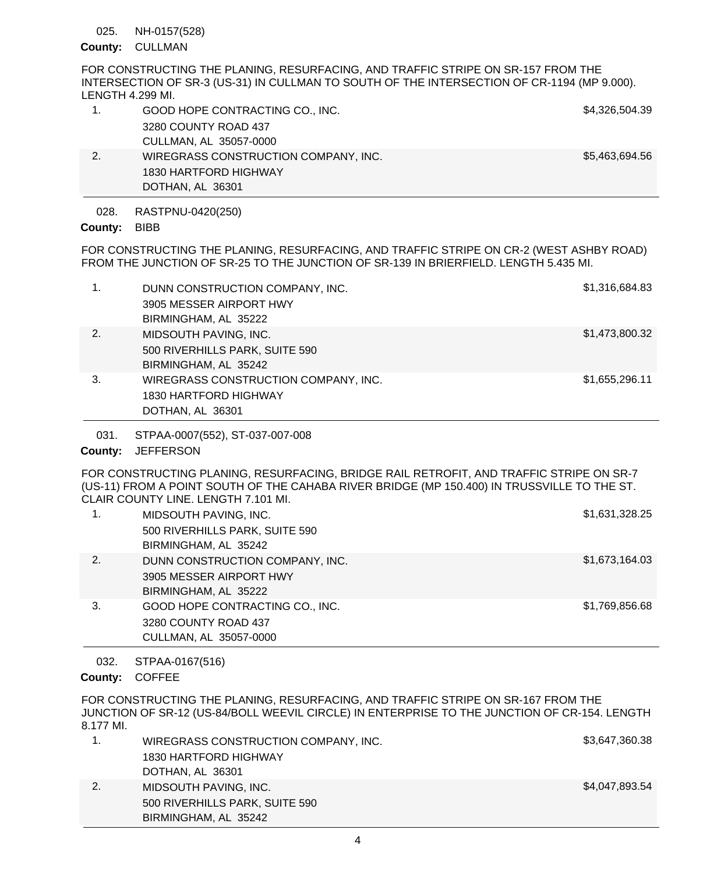### NH-0157(528) 025.

# County: CULLMAN

FOR CONSTRUCTING THE PLANING, RESURFACING, AND TRAFFIC STRIPE ON SR-157 FROM THE INTERSECTION OF SR-3 (US-31) IN CULLMAN TO SOUTH OF THE INTERSECTION OF CR-1194 (MP 9.000). LENGTH 4.299 MI.

|    | GOOD HOPE CONTRACTING CO., INC.      | \$4,326,504.39 |
|----|--------------------------------------|----------------|
|    | 3280 COUNTY ROAD 437                 |                |
|    | CULLMAN, AL 35057-0000               |                |
| 2. | WIREGRASS CONSTRUCTION COMPANY, INC. | \$5,463,694.56 |
|    | 1830 HARTFORD HIGHWAY                |                |
|    | DOTHAN, AL 36301                     |                |

### RASTPNU-0420(250) 028.

# County: BIBB

FOR CONSTRUCTING THE PLANING, RESURFACING, AND TRAFFIC STRIPE ON CR-2 (WEST ASHBY ROAD) FROM THE JUNCTION OF SR-25 TO THE JUNCTION OF SR-139 IN BRIERFIELD. LENGTH 5.435 MI.

| 1. | DUNN CONSTRUCTION COMPANY, INC.<br>3905 MESSER AIRPORT HWY<br>BIRMINGHAM, AL 35222 | \$1,316,684.83 |
|----|------------------------------------------------------------------------------------|----------------|
| 2. | MIDSOUTH PAVING, INC.<br>500 RIVERHILLS PARK, SUITE 590<br>BIRMINGHAM, AL 35242    | \$1,473,800.32 |
| 3. | WIREGRASS CONSTRUCTION COMPANY, INC.<br>1830 HARTFORD HIGHWAY<br>DOTHAN, AL 36301  | \$1,655,296.11 |

STPAA-0007(552), ST-037-007-008 031.

# County: JEFFERSON

FOR CONSTRUCTING PLANING, RESURFACING, BRIDGE RAIL RETROFIT, AND TRAFFIC STRIPE ON SR-7 (US-11) FROM A POINT SOUTH OF THE CAHABA RIVER BRIDGE (MP 150.400) IN TRUSSVILLE TO THE ST. CLAIR COUNTY LINE. LENGTH 7.101 MI.

| 1. | MIDSOUTH PAVING, INC.<br>500 RIVERHILLS PARK, SUITE 590<br>BIRMINGHAM, AL 35242    | \$1,631,328.25 |
|----|------------------------------------------------------------------------------------|----------------|
| 2. | DUNN CONSTRUCTION COMPANY, INC.<br>3905 MESSER AIRPORT HWY<br>BIRMINGHAM, AL 35222 | \$1,673,164.03 |
| 3. | GOOD HOPE CONTRACTING CO., INC.<br>3280 COUNTY ROAD 437<br>CULLMAN, AL 35057-0000  | \$1,769,856.68 |

### STPAA-0167(516) 032.

County: COFFEE

FOR CONSTRUCTING THE PLANING, RESURFACING, AND TRAFFIC STRIPE ON SR-167 FROM THE JUNCTION OF SR-12 (US-84/BOLL WEEVIL CIRCLE) IN ENTERPRISE TO THE JUNCTION OF CR-154. LENGTH 8.177 MI.

|    | WIREGRASS CONSTRUCTION COMPANY, INC. | \$3,647,360.38 |
|----|--------------------------------------|----------------|
|    | 1830 HARTFORD HIGHWAY                |                |
|    | DOTHAN, AL 36301                     |                |
| 2. | MIDSOUTH PAVING, INC.                | \$4,047,893.54 |
|    | 500 RIVERHILLS PARK, SUITE 590       |                |
|    | BIRMINGHAM, AL 35242                 |                |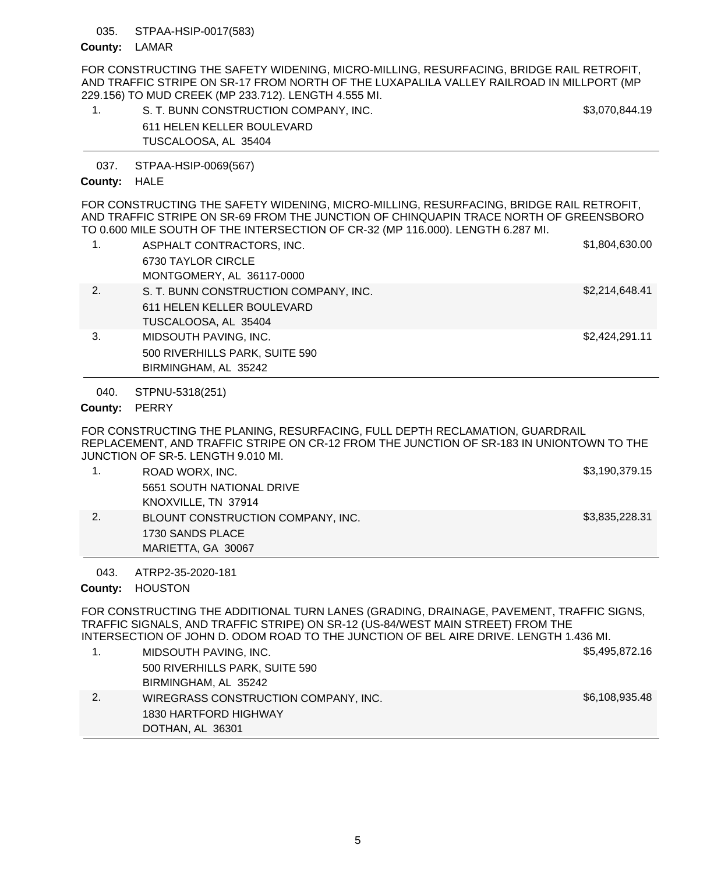### STPAA-HSIP-0017(583) 035.

## County: LAMAR

FOR CONSTRUCTING THE SAFETY WIDENING, MICRO-MILLING, RESURFACING, BRIDGE RAIL RETROFIT, AND TRAFFIC STRIPE ON SR-17 FROM NORTH OF THE LUXAPALILA VALLEY RAILROAD IN MILLPORT (MP 229.156) TO MUD CREEK (MP 233.712). LENGTH 4.555 MI.

| S. T. BUNN CONSTRUCTION COMPANY, INC. | \$3,070,844.19 |
|---------------------------------------|----------------|
| 611 HELEN KELLER BOULEVARD            |                |
| TUSCALOOSA, AL 35404                  |                |

STPAA-HSIP-0069(567) 037.

## County: HALE

FOR CONSTRUCTING THE SAFETY WIDENING, MICRO-MILLING, RESURFACING, BRIDGE RAIL RETROFIT, AND TRAFFIC STRIPE ON SR-69 FROM THE JUNCTION OF CHINQUAPIN TRACE NORTH OF GREENSBORO TO 0.600 MILE SOUTH OF THE INTERSECTION OF CR-32 (MP 116.000). LENGTH 6.287 MI.

|    | ASPHALT CONTRACTORS, INC.             | \$1,804,630.00 |
|----|---------------------------------------|----------------|
|    | 6730 TAYLOR CIRCLE                    |                |
|    | MONTGOMERY, AL 36117-0000             |                |
| 2. | S. T. BUNN CONSTRUCTION COMPANY, INC. | \$2,214,648.41 |
|    | 611 HELEN KELLER BOULEVARD            |                |
|    | TUSCALOOSA, AL 35404                  |                |
| 3. | MIDSOUTH PAVING, INC.                 | \$2,424,291.11 |
|    | 500 RIVERHILLS PARK, SUITE 590        |                |
|    | BIRMINGHAM, AL 35242                  |                |

STPNU-5318(251) 040.

County: PERRY

FOR CONSTRUCTING THE PLANING, RESURFACING, FULL DEPTH RECLAMATION, GUARDRAIL REPLACEMENT, AND TRAFFIC STRIPE ON CR-12 FROM THE JUNCTION OF SR-183 IN UNIONTOWN TO THE JUNCTION OF SR-5. LENGTH 9.010 MI.

| ROAD WORX, INC.                   | \$3,190,379.15 |
|-----------------------------------|----------------|
| 5651 SOUTH NATIONAL DRIVE         |                |
| KNOXVILLE, TN 37914               |                |
| BLOUNT CONSTRUCTION COMPANY, INC. | \$3,835,228.31 |
| 1730 SANDS PLACE                  |                |
| MARIETTA, GA 30067                |                |

ATRP2-35-2020-181 043.

County: HOUSTON

FOR CONSTRUCTING THE ADDITIONAL TURN LANES (GRADING, DRAINAGE, PAVEMENT, TRAFFIC SIGNS, TRAFFIC SIGNALS, AND TRAFFIC STRIPE) ON SR-12 (US-84/WEST MAIN STREET) FROM THE INTERSECTION OF JOHN D. ODOM ROAD TO THE JUNCTION OF BEL AIRE DRIVE. LENGTH 1.436 MI.

| \$5,495,872.16<br>MIDSOUTH PAVING, INC.                |  |
|--------------------------------------------------------|--|
| 500 RIVERHILLS PARK, SUITE 590                         |  |
| BIRMINGHAM, AL 35242                                   |  |
| \$6,108,935.48<br>WIREGRASS CONSTRUCTION COMPANY, INC. |  |
| 1830 HARTFORD HIGHWAY                                  |  |
| DOTHAN, AL 36301                                       |  |